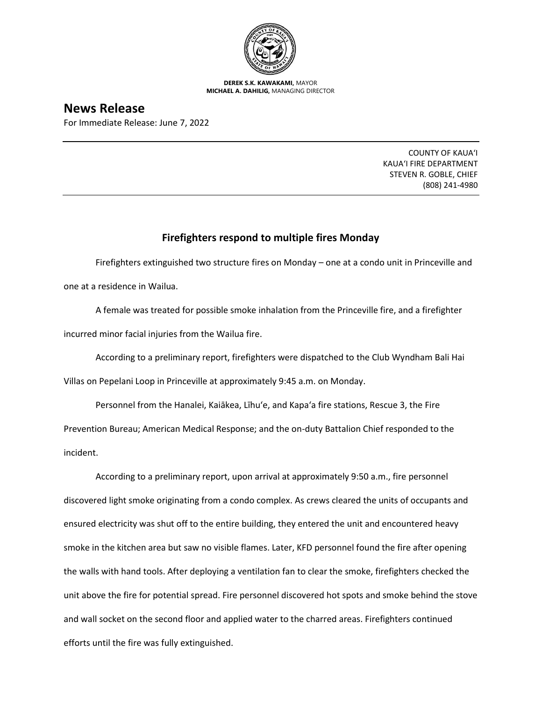

**DEREK S.K. KAWAKAMI,** MAYOR **MICHAEL A. DAHILIG,** MANAGING DIRECTOR

## **News Release**

For Immediate Release: June 7, 2022

COUNTY OF KAUA'I KAUA'I FIRE DEPARTMENT STEVEN R. GOBLE, CHIEF (808) 241-4980

## **Firefighters respond to multiple fires Monday**

Firefighters extinguished two structure fires on Monday – one at a condo unit in Princeville and one at a residence in Wailua.

A female was treated for possible smoke inhalation from the Princeville fire, and a firefighter incurred minor facial injuries from the Wailua fire.

According to a preliminary report, firefighters were dispatched to the Club Wyndham Bali Hai

Villas on Pepelani Loop in Princeville at approximately 9:45 a.m. on Monday.

Personnel from the Hanalei, Kaiākea, Līhu'e, and Kapa'a fire stations, Rescue 3, the Fire Prevention Bureau; American Medical Response; and the on-duty Battalion Chief responded to the incident.

According to a preliminary report, upon arrival at approximately 9:50 a.m., fire personnel discovered light smoke originating from a condo complex. As crews cleared the units of occupants and ensured electricity was shut off to the entire building, they entered the unit and encountered heavy smoke in the kitchen area but saw no visible flames. Later, KFD personnel found the fire after opening the walls with hand tools. After deploying a ventilation fan to clear the smoke, firefighters checked the unit above the fire for potential spread. Fire personnel discovered hot spots and smoke behind the stove and wall socket on the second floor and applied water to the charred areas. Firefighters continued efforts until the fire was fully extinguished.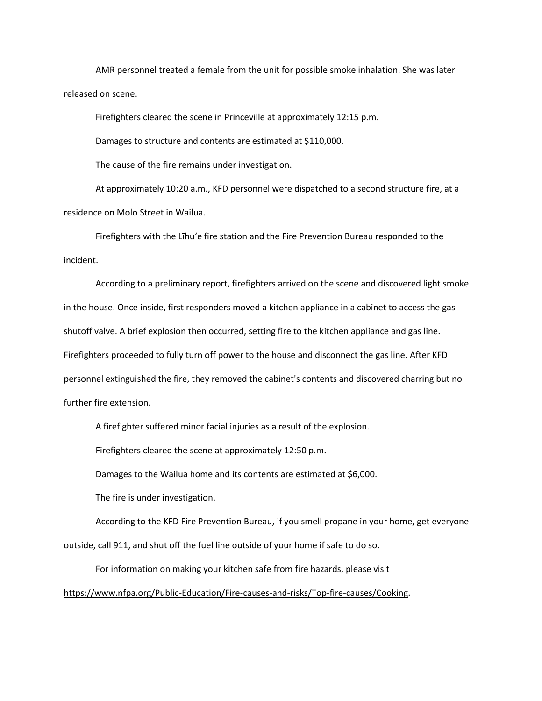AMR personnel treated a female from the unit for possible smoke inhalation. She was later released on scene.

Firefighters cleared the scene in Princeville at approximately 12:15 p.m.

Damages to structure and contents are estimated at \$110,000.

The cause of the fire remains under investigation.

At approximately 10:20 a.m., KFD personnel were dispatched to a second structure fire, at a residence on Molo Street in Wailua.

Firefighters with the Līhu'e fire station and the Fire Prevention Bureau responded to the incident.

According to a preliminary report, firefighters arrived on the scene and discovered light smoke in the house. Once inside, first responders moved a kitchen appliance in a cabinet to access the gas shutoff valve. A brief explosion then occurred, setting fire to the kitchen appliance and gas line. Firefighters proceeded to fully turn off power to the house and disconnect the gas line. After KFD personnel extinguished the fire, they removed the cabinet's contents and discovered charring but no further fire extension.

A firefighter suffered minor facial injuries as a result of the explosion.

Firefighters cleared the scene at approximately 12:50 p.m.

Damages to the Wailua home and its contents are estimated at \$6,000.

The fire is under investigation.

According to the KFD Fire Prevention Bureau, if you smell propane in your home, get everyone outside, call 911, and shut off the fuel line outside of your home if safe to do so.

For information on making your kitchen safe from fire hazards, please visit [https://www.nfpa.org/Public-Education/Fire-causes-and-risks/Top-fire-causes/Cooking.](https://www.nfpa.org/Public-Education/Fire-causes-and-risks/Top-fire-causes/Cooking)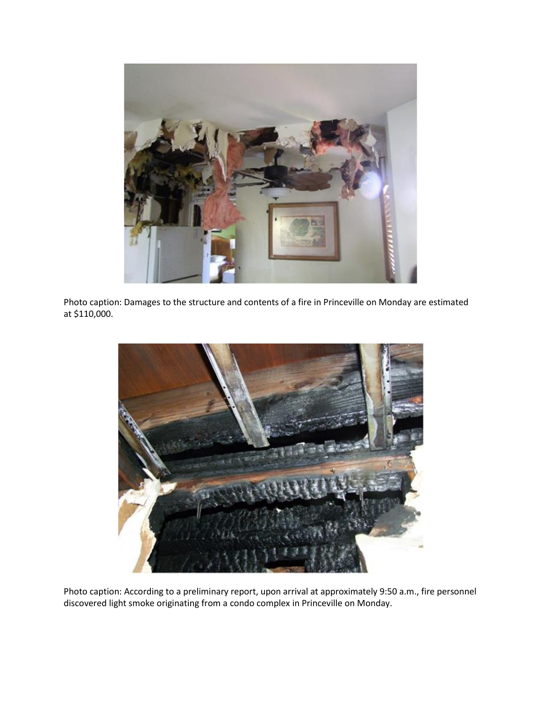

Photo caption: Damages to the structure and contents of a fire in Princeville on Monday are estimated at \$110,000.



Photo caption: According to a preliminary report, upon arrival at approximately 9:50 a.m., fire personnel discovered light smoke originating from a condo complex in Princeville on Monday.